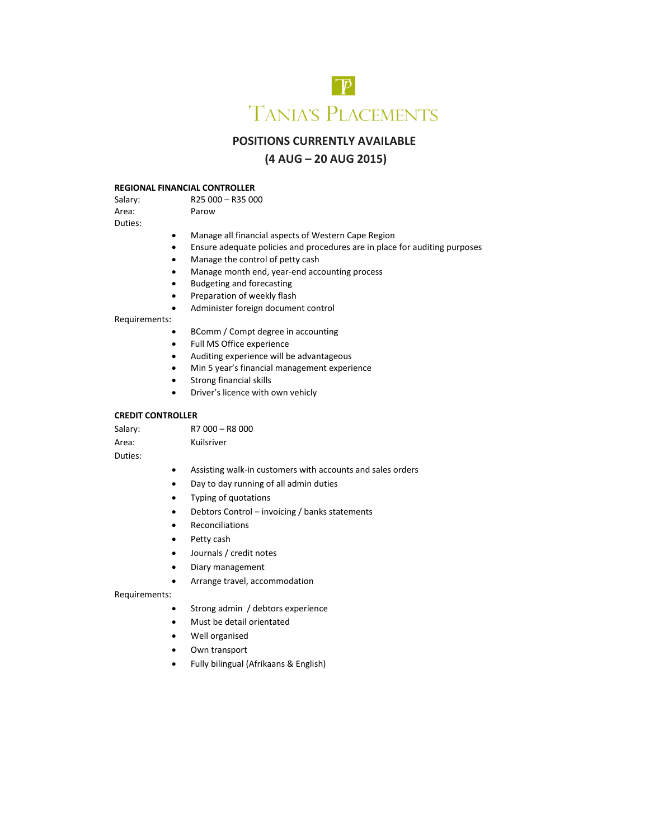

# **POSITIONS CURRENTLY AVAILABLE**

# **(4 AUG – 20 AUG 2015)**

#### **REGIONAL FINANCIAL CONTROLLER**<br>Salary: R25 000 - R35 00  $R25000 - R35000$

Area: Parow Duties:

- Manage all financial aspects of Western Cape Region
- Ensure adequate policies and procedures are in place for auditing purposes
- Manage the control of petty cash
- Manage month end, year-end accounting process
- Budgeting and forecasting
- **•** Preparation of weekly flash
- Administer foreign document control

## Requirements:

- BComm / Compt degree in accounting
- Full MS Office experience
- Auditing experience will be advantageous
- Min 5 year's financial management experience
- Strong financial skills
- Driver's licence with own vehicly

# **CREDIT CONTROLLER**

| Salary: | R7 000 - R8 000 |
|---------|-----------------|
| Area:   | Kuilsriver      |
| Duties: |                 |

- Assisting walk-in customers with accounts and sales orders
- Day to day running of all admin duties
- Typing of quotations
- Debtors Control invoicing / banks statements
- Reconciliations
- Petty cash
- Journals / credit notes
- Diary management
- Arrange travel, accommodation

Requirements:

- Strong admin / debtors experience
- Must be detail orientated
- Well organised
- Own transport
- Fully bilingual (Afrikaans & English)